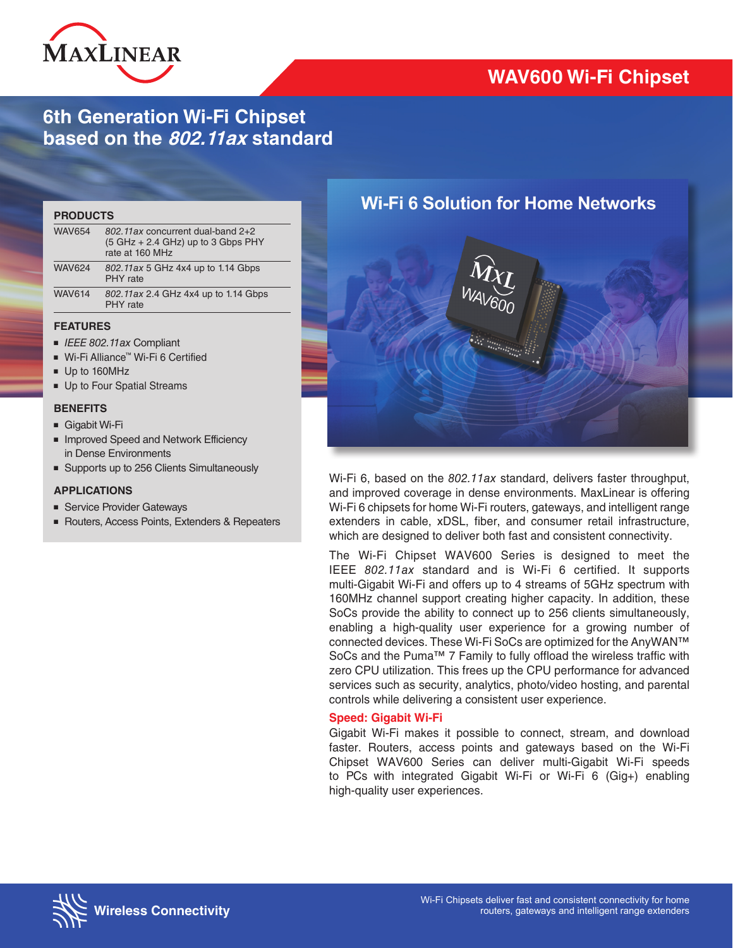

# **6th Generation Wi-Fi Chipset based on the 802.11ax standard**

#### **PRODUCTS**

| <b>WAV654</b> | 802.11ax concurrent dual-band 2+2<br>$(5 GHz + 2.4 GHz)$ up to 3 Gbps PHY<br>rate at 160 MHz |  |
|---------------|----------------------------------------------------------------------------------------------|--|
| <b>WAV624</b> | 802.11ax 5 GHz 4x4 up to 1.14 Gbps<br>PHY rate                                               |  |
| <b>WAV614</b> | 802.11ax 2.4 GHz 4x4 up to 1.14 Gbps<br>PHY rate                                             |  |

### **FEATURES**

- *IEEE 802.11ax* Compliant
- Wi-Fi Alliance™ Wi-Fi 6 Certified
- Up to 160MHz
- Up to Four Spatial Streams

### **BENEFITS**

- Gigabit Wi-Fi
- Improved Speed and Network Efficiency in Dense Environments
- Supports up to 256 Clients Simultaneously

### **APPLICATIONS**

- Service Provider Gateways
- Routers, Access Points, Extenders & Repeaters



Wi-Fi 6, based on the *802.11ax* standard, delivers faster throughput, and improved coverage in dense environments. MaxLinear is offering Wi-Fi 6 chipsets for home Wi-Fi routers, gateways, and intelligent range extenders in cable, xDSL, fiber, and consumer retail infrastructure, which are designed to deliver both fast and consistent connectivity.

The Wi-Fi Chipset WAV600 Series is designed to meet the IEEE *802.11ax* standard and is Wi-Fi 6 certified. It supports multi-Gigabit Wi-Fi and offers up to 4 streams of 5GHz spectrum with 160MHz channel support creating higher capacity. In addition, these SoCs provide the ability to connect up to 256 clients simultaneously, enabling a high-quality user experience for a growing number of connected devices. These Wi-Fi SoCs are optimized for the AnyWAN™ SoCs and the Puma™ 7 Family to fully offload the wireless traffic with zero CPU utilization. This frees up the CPU performance for advanced services such as security, analytics, photo/video hosting, and parental controls while delivering a consistent user experience.

### **Speed: Gigabit Wi-Fi**

Gigabit Wi-Fi makes it possible to connect, stream, and download faster. Routers, access points and gateways based on the Wi-Fi Chipset WAV600 Series can deliver multi-Gigabit Wi-Fi speeds to PCs with integrated Gigabit Wi-Fi or Wi-Fi 6 (Gig+) enabling high-quality user experiences.